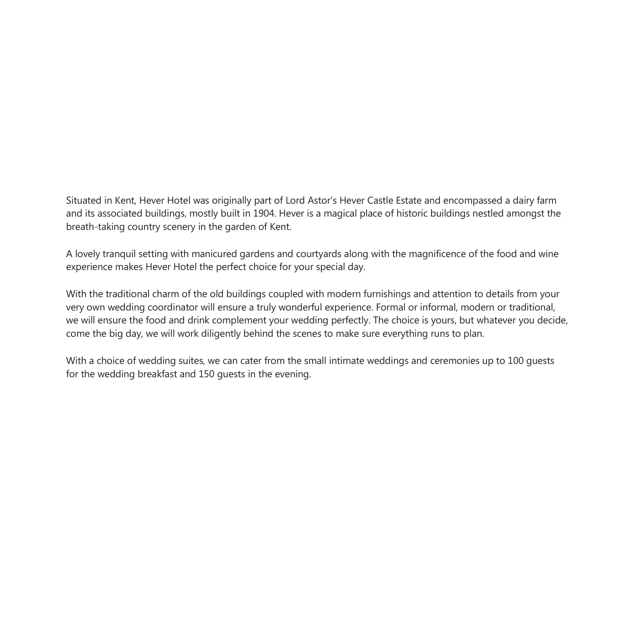Situated in Kent, Hever Hotel was originally part of Lord Astor's Hever Castle Estate and encompassed a dairy farm and its associated buildings, mostly built in 1904. Hever is a magical place of historic buildings nestled amongst the breath-taking country scenery in the garden of Kent.

A lovely tranquil setting with manicured gardens and courtyards along with the magnificence of the food and wine experience makes Hever Hotel the perfect choice for your special day.

With the traditional charm of the old buildings coupled with modern furnishings and attention to details from your very own wedding coordinator will ensure a truly wonderful experience. Formal or informal, modern or traditional, we will ensure the food and drink complement your wedding perfectly. The choice is yours, but whatever you decide, come the big day, we will work diligently behind the scenes to make sure everything runs to plan.

With a choice of wedding suites, we can cater from the small intimate weddings and ceremonies up to 100 guests for the wedding breakfast and 150 guests in the evening.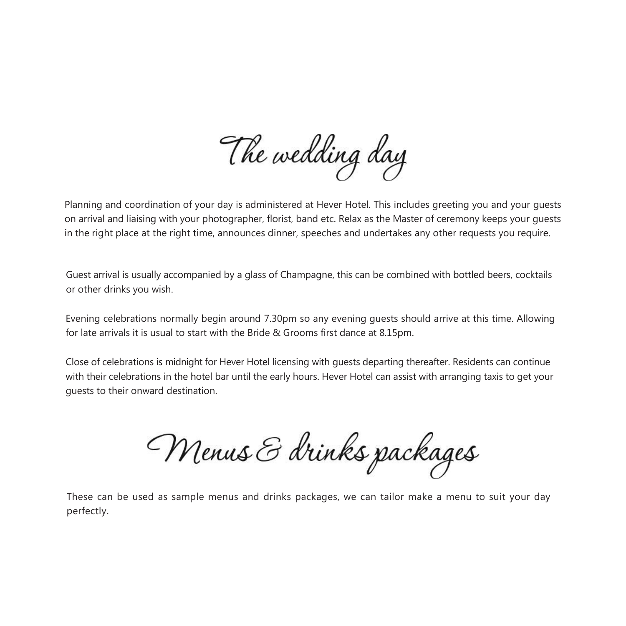The wedding day

Planning and coordination of your day is administered at Hever Hotel. This includes greeting you and your guests on arrival and liaising with your photographer, florist, band etc. Relax as the Master of ceremony keeps your guests in the right place at the right time, announces dinner, speeches and undertakes any other requests you require.

Guest arrival is usually accompanied by a glass of Champagne, this can be combined with bottled beers, cocktails or other drinks you wish.

Evening celebrations normally begin around 7.30pm so any evening guests should arrive at this time. Allowing for late arrivals it is usual to start with the Bride & Grooms first dance at 8.15pm.

Close of celebrations is midnight for Hever Hotel licensing with guests departing thereafter. Residents can continue with their celebrations in the hotel bar until the early hours. Hever Hotel can assist with arranging taxis to get your guests to their onward destination.

Menus & drinks packages

These can be used as sample menus and drinks packages, we can tailor make a menu to suit your day perfectly.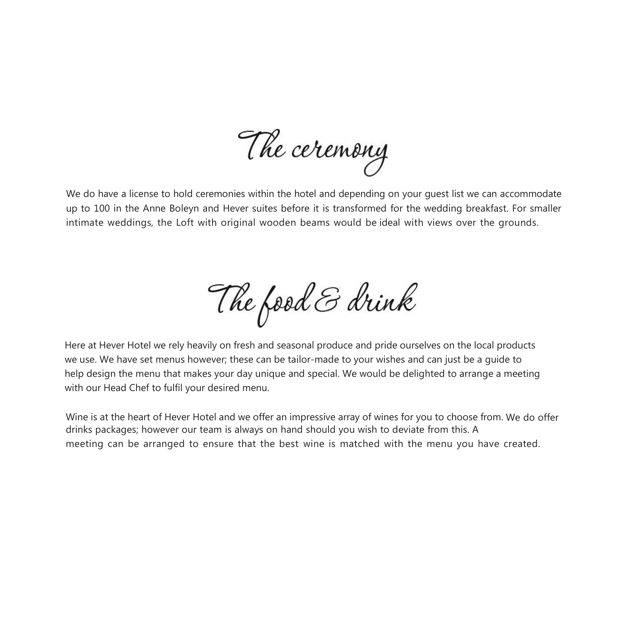The ceremony

We do have a license to hold ceremonies within the hotel and depending on your quest list we can accommodate up to 100 in the Anne Boleyn and Hever suites before it is transformed for the wedding breakfast. For smaller intimate weddings, the Loft with original wooden beams would be ideal with views over the grounds.

The food & drink

Here at Hever Hotel we rely heavily on fresh and seasonal produce and pride ourselves on the local products we use. We have set menus however; these can be tailor-made to your wishes and can just be a guide to help design the menu that makes your day unique and special. We would be delighted to arrange a meeting with our Head Chef to fulfil your desired menu.

Wine is at the heart of Hever Hotel and we offer an impressive array of wines for you to choose from. We do offer drinks packages; however our team is always on hand should you wish to deviate from this. A meeting can be arranged to ensure that the best wine is matched with the menu you have created.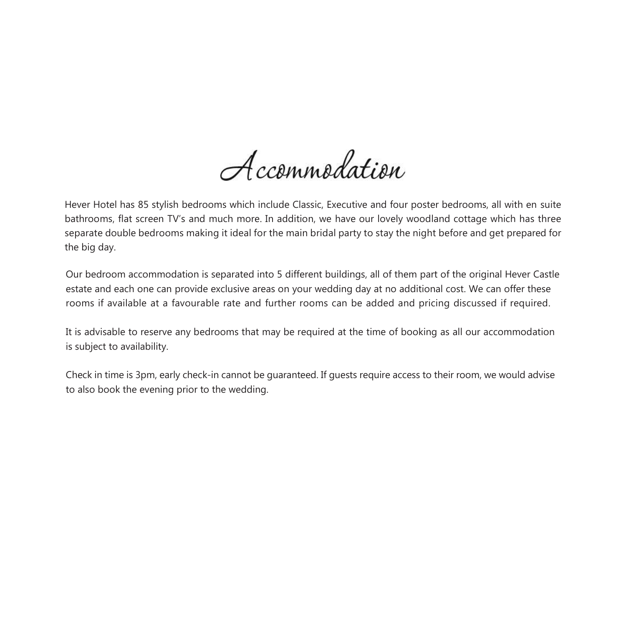Accommodation

Hever Hotel has 85 stylish bedrooms which include Classic, Executive and four poster bedrooms, all with en suite bathrooms, flat screen TV's and much more. In addition, we have our lovely woodland cottage which has three separate double bedrooms making it ideal for the main bridal party to stay the night before and get prepared for the big day.

Our bedroom accommodation is separated into 5 different buildings, all of them part of the original Hever Castle estate and each one can provide exclusive areas on your wedding day at no additional cost. We can offer these rooms if available at a favourable rate and further rooms can be added and pricing discussed if required.

It is advisable to reserve any bedrooms that may be required at the time of booking as all our accommodation is subject to availability.

Check in time is 3pm, early check-in cannot be guaranteed. If guests require access to their room, we would advise to also book the evening prior to the wedding.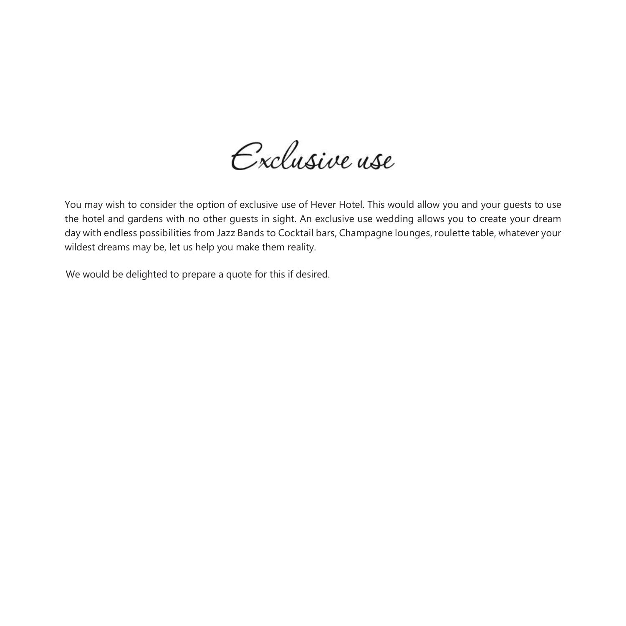Exclusive use

You may wish to consider the option of exclusive use of Hever Hotel. This would allow you and your guests to use the hotel and gardens with no other guests in sight. An exclusive use wedding allows you to create your dream day with endless possibilities from Jazz Bands to Cocktail bars, Champagne lounges, roulette table, whatever your wildest dreams may be, let us help you make them reality.

We would be delighted to prepare a quote for this if desired.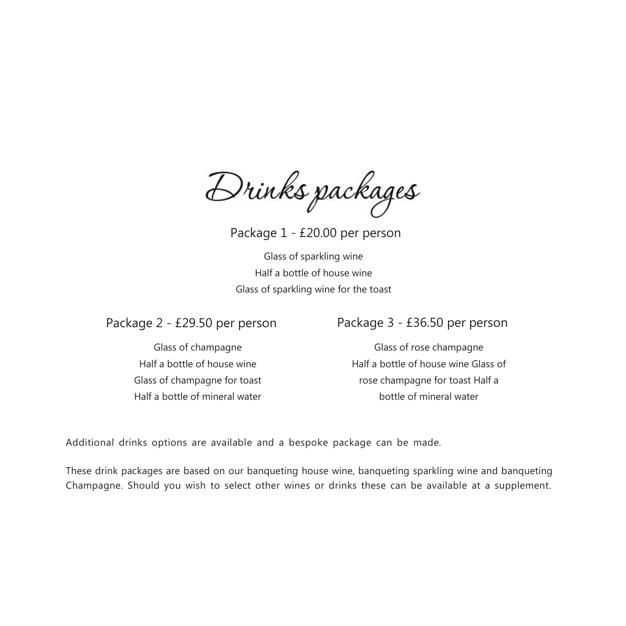Drinks packages

Package 1 - £20.00 per person

Glass of sparkling wine Half a bottle of house wine Glass of sparkling wine for the toast

Glass of champagne Half a bottle of house wine Glass of champagne for toast Half a bottle of mineral water

# Package 2 - £29.50 per person Package 3 - £36.50 per person

Glass of rose champagne Half a bottle of house wine Glass of rose champagne for toast Half a bottle of mineral water

Additional drinks options are available and a bespoke package can be made.

These drink packages are based on our banqueting house wine, banqueting sparkling wine and banqueting Champagne. Should you wish to select other wines or drinks these can be available at a supplement.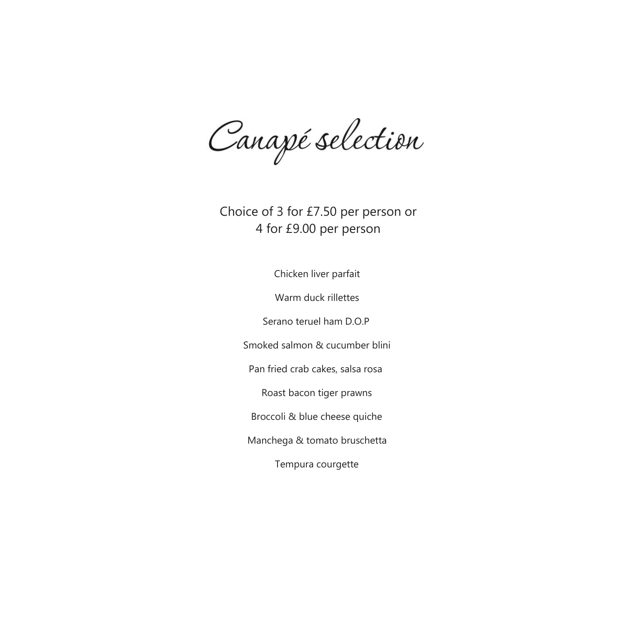Canapé selection

Choice of 3 for £7.50 per person or 4 for £9.00 per person

Chicken liver parfait

Warm duck rillettes

Serano teruel ham D.O.P

Smoked salmon & cucumber blini

Pan fried crab cakes, salsa rosa

Roast bacon tiger prawns

Broccoli & blue cheese quiche

Manchega & tomato bruschetta

Tempura courgette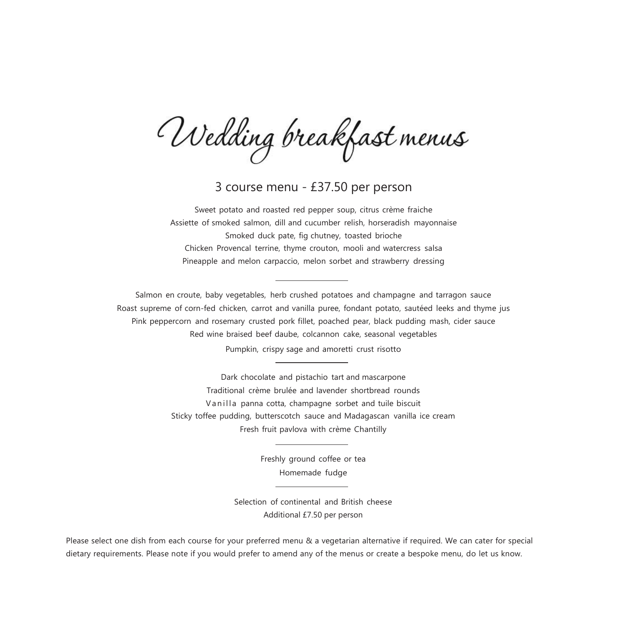Wedding breakfast menus

3 course menu - £37.50 per person

Sweet potato and roasted red pepper soup, citrus crème fraiche Assiette of smoked salmon, dill and cucumber relish, horseradish mayonnaise Smoked duck pate, fig chutney, toasted brioche Chicken Provencal terrine, thyme crouton, mooli and watercress salsa Pineapple and melon carpaccio, melon sorbet and strawberry dressing

Salmon en croute, baby vegetables, herb crushed potatoes and champagne and tarragon sauce Roast supreme of corn-fed chicken, carrot and vanilla puree, fondant potato, sautéed leeks and thyme jus Pink peppercorn and rosemary crusted pork fillet, poached pear, black pudding mash, cider sauce Red wine braised beef daube, colcannon cake, seasonal vegetables Pumpkin, crispy sage and amoretti crust risotto

> Dark chocolate and pistachio tart and mascarpone Traditional crème brulée and lavender shortbread rounds Vanilla panna cotta, champagne sorbet and tuile biscuit Sticky toffee pudding, butterscotch sauce and Madagascan vanilla ice cream Fresh fruit pavlova with crème Chantilly

> > Freshly ground coffee or tea Homemade fudge

Selection of continental and British cheese Additional £7.50 per person

Please select one dish from each course for your preferred menu & a vegetarian alternative if required. We can cater for special dietary requirements. Please note if you would prefer to amend any of the menus or create a bespoke menu, do let us know.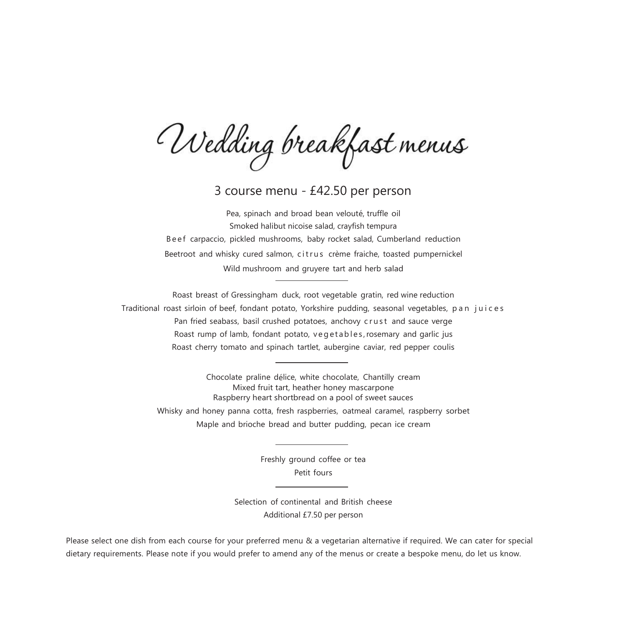Wedding breakfast menus

3 course menu - £42.50 per person

Pea, spinach and broad bean velouté, truffle oil Smoked halibut nicoise salad, crayfish tempura Beef carpaccio, pickled mushrooms, baby rocket salad, Cumberland reduction Beetroot and whisky cured salmon, citrus crème fraiche, toasted pumpernickel Wild mushroom and gruyere tart and herb salad

Roast breast of Gressingham duck, root vegetable gratin, red wine reduction Traditional roast sirloin of beef, fondant potato, Yorkshire pudding, seasonal vegetables, p a n j u i c e s Pan fried seabass, basil crushed potatoes, anchovy crust and sauce verge Roast rump of lamb, fondant potato, vegetables, rosemary and garlic jus Roast cherry tomato and spinach tartlet, aubergine caviar, red pepper coulis

Chocolate praline délice, white chocolate, Chantilly cream Mixed fruit tart, heather honey mascarpone Raspberry heart shortbread on a pool of sweet sauces Whisky and honey panna cotta, fresh raspberries, oatmeal caramel, raspberry sorbet Maple and brioche bread and butter pudding, pecan ice cream

> Freshly ground coffee or tea Petit fours

Selection of continental and British cheese Additional £7.50 per person

Please select one dish from each course for your preferred menu & a vegetarian alternative if required. We can cater for special dietary requirements. Please note if you would prefer to amend any of the menus or create a bespoke menu, do let us know.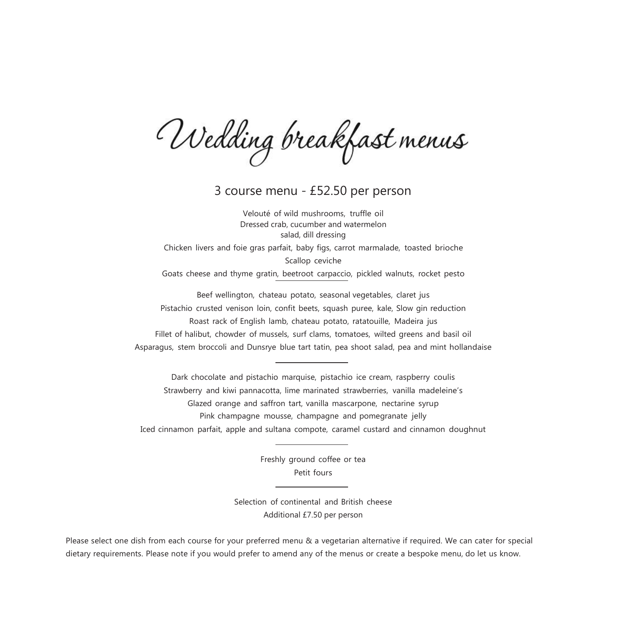Wedding breakfast menus

3 course menu - £52.50 per person

Velouté of wild mushrooms, truffle oil Dressed crab, cucumber and watermelon salad, dill dressing Chicken livers and foie gras parfait, baby figs, carrot marmalade, toasted brioche Scallop ceviche Goats cheese and thyme gratin, beetroot carpaccio, pickled walnuts, rocket pesto

Beef wellington, chateau potato, seasonal vegetables, claret jus Pistachio crusted venison loin, confit beets, squash puree, kale, Slow gin reduction Roast rack of English lamb, chateau potato, ratatouille, Madeira jus Fillet of halibut, chowder of mussels, surf clams, tomatoes, wilted greens and basil oil Asparagus, stem broccoli and Dunsrye blue tart tatin, pea shoot salad, pea and mint hollandaise

Dark chocolate and pistachio marquise, pistachio ice cream, raspberry coulis Strawberry and kiwi pannacotta, lime marinated strawberries, vanilla madeleine's Glazed orange and saffron tart, vanilla mascarpone, nectarine syrup Pink champagne mousse, champagne and pomegranate jelly Iced cinnamon parfait, apple and sultana compote, caramel custard and cinnamon doughnut

> Freshly ground coffee or tea Petit fours

Selection of continental and British cheese Additional £7.50 per person

Please select one dish from each course for your preferred menu & a vegetarian alternative if required. We can cater for special dietary requirements. Please note if you would prefer to amend any of the menus or create a bespoke menu, do let us know.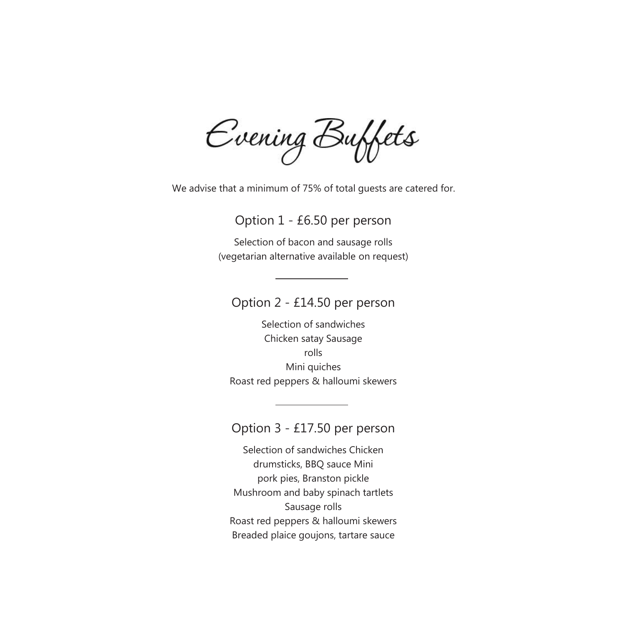Evening Buffets

We advise that a minimum of 75% of total guests are catered for.

Option 1 - £6.50 per person

Selection of bacon and sausage rolls (vegetarian alternative available on request)

Option 2 - £14.50 per person

Selection of sandwiches Chicken satay Sausage rolls Mini quiches Roast red peppers & halloumi skewers

Option 3 - £17.50 per person

Selection of sandwiches Chicken drumsticks, BBQ sauce Mini pork pies, Branston pickle Mushroom and baby spinach tartlets Sausage rolls Roast red peppers & halloumi skewers Breaded plaice goujons, tartare sauce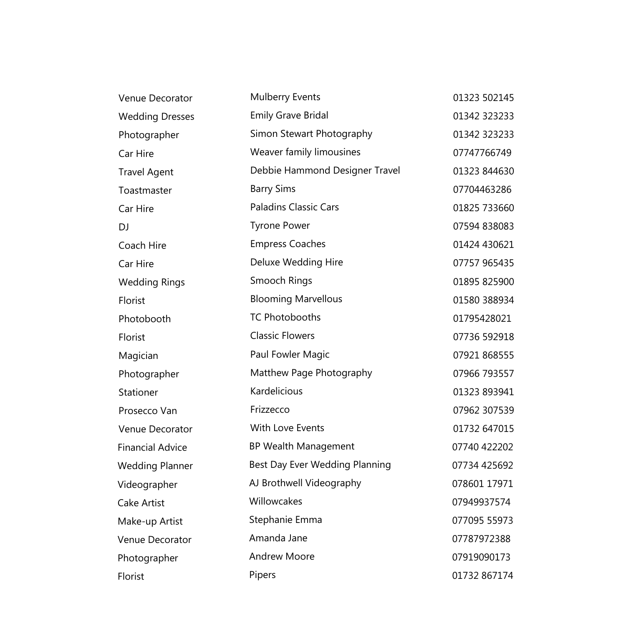| Venue Decorator         | Mulberry Events                | 01323 502145 |
|-------------------------|--------------------------------|--------------|
| <b>Wedding Dresses</b>  | <b>Emily Grave Bridal</b>      | 01342 323233 |
| Photographer            | Simon Stewart Photography      | 01342 323233 |
| Car Hire                | Weaver family limousines       | 07747766749  |
| <b>Travel Agent</b>     | Debbie Hammond Designer Travel | 01323 844630 |
| Toastmaster             | <b>Barry Sims</b>              | 07704463286  |
| Car Hire                | <b>Paladins Classic Cars</b>   | 01825 733660 |
| DJ                      | <b>Tyrone Power</b>            | 07594 838083 |
| Coach Hire              | <b>Empress Coaches</b>         | 01424 430621 |
| Car Hire                | Deluxe Wedding Hire            | 07757 965435 |
| <b>Wedding Rings</b>    | Smooch Rings                   | 01895 825900 |
| Florist                 | <b>Blooming Marvellous</b>     | 01580 388934 |
| Photobooth              | <b>TC Photobooths</b>          | 01795428021  |
| Florist                 | <b>Classic Flowers</b>         | 07736 592918 |
| Magician                | Paul Fowler Magic              | 07921 868555 |
| Photographer            | Matthew Page Photography       | 07966 793557 |
| Stationer               | Kardelicious                   | 01323 893941 |
| Prosecco Van            | Frizzecco                      | 07962 307539 |
| Venue Decorator         | With Love Events               | 01732 647015 |
| <b>Financial Advice</b> | <b>BP Wealth Management</b>    | 07740 422202 |
| <b>Wedding Planner</b>  | Best Day Ever Wedding Planning | 07734 425692 |
| Videographer            | AJ Brothwell Videography       | 078601 17971 |
| Cake Artist             | Willowcakes                    | 07949937574  |
| Make-up Artist          | Stephanie Emma                 | 077095 55973 |
| Venue Decorator         | Amanda Jane                    | 07787972388  |
| Photographer            | <b>Andrew Moore</b>            | 07919090173  |
| Florist                 | Pipers                         | 01732 867174 |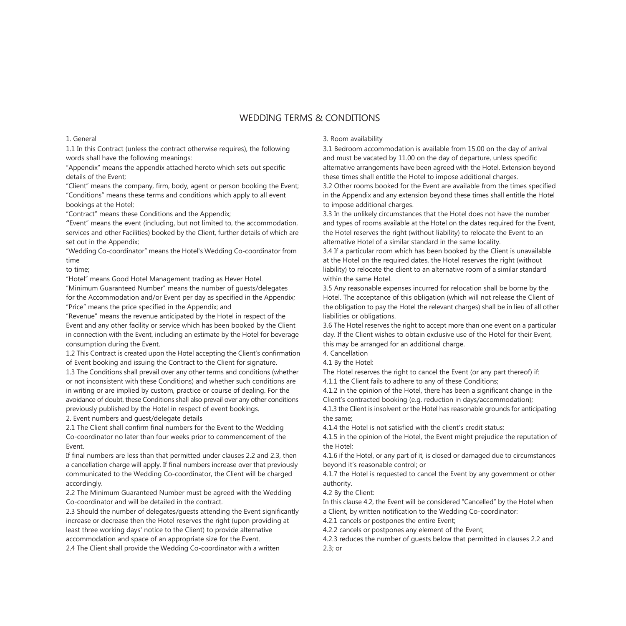#### 1. General

1.1 In this Contract (unless the contract otherwise requires), the following words shall have the following meanings:

"Appendix" means the appendix attached hereto which sets out specific details of the Event;

"Client" means the company, firm, body, agent or person booking the Event; "Conditions" means these terms and conditions which apply to all event bookings at the Hotel;

"Contract" means these Conditions and the Appendix;

**"**Event" means the event (including, but not limited to, the accommodation, services and other Facilities) booked by the Client, further details of which are set out in the Appendix;

"Wedding Co-coordinator" means the Hotel's Wedding Co-coordinator from time

to time;

"Hotel" means Good Hotel Management trading as Hever Hotel.

"Minimum Guaranteed Number" means the number of guests/delegates for the Accommodation and/or Event per day as specified in the Appendix; "Price" means the price specified in the Appendix; and

"Revenue" means the revenue anticipated by the Hotel in respect of the Event and any other facility or service which has been booked by the Client in connection with the Event, including an estimate by the Hotel for beverage consumption during the Event.

1.2 This Contract is created upon the Hotel accepting the Client's confirmation of Event booking and issuing the Contract to the Client for signature.

1.3 The Conditions shall prevail over any other terms and conditions (whether or not inconsistent with these Conditions) and whether such conditions are in writing or are implied by custom, practice or course of dealing. For the avoidance of doubt, these Conditions shall also prevail over any other conditions previously published by the Hotel in respect of event bookings. 2. Event numbers and guest/delegate details

2.1 The Client shall confirm final numbers for the Event to the Wedding Co-coordinator no later than four weeks prior to commencement of the Event.

If final numbers are less than that permitted under clauses 2.2 and 2.3, then a cancellation charge will apply. If final numbers increase over that previously communicated to the Wedding Co-coordinator, the Client will be charged accordingly.

2.2 The Minimum Guaranteed Number must be agreed with the Wedding Co-coordinator and will be detailed in the contract.

2.3 Should the number of delegates/guests attending the Event significantly increase or decrease then the Hotel reserves the right (upon providing at least three working days' notice to the Client) to provide alternative accommodation and space of an appropriate size for the Event.

2.4 The Client shall provide the Wedding Co-coordinator with a written

### 3. Room availability

3.1 Bedroom accommodation is available from 15.00 on the day of arrival and must be vacated by 11.00 on the day of departure, unless specific alternative arrangements have been agreed with the Hotel. Extension beyond these times shall entitle the Hotel to impose additional charges.

3.2 Other rooms booked for the Event are available from the times specified in the Appendix and any extension beyond these times shall entitle the Hotel to impose additional charges.

3.3 In the unlikely circumstances that the Hotel does not have the number and types of rooms available at the Hotel on the dates required for the Event, the Hotel reserves the right (without liability) to relocate the Event to an alternative Hotel of a similar standard in the same locality.

3.4 If a particular room which has been booked by the Client is unavailable at the Hotel on the required dates, the Hotel reserves the right (without liability) to relocate the client to an alternative room of a similar standard within the same Hotel.

3.5 Any reasonable expenses incurred for relocation shall be borne by the Hotel. The acceptance of this obligation (which will not release the Client of the obligation to pay the Hotel the relevant charges) shall be in lieu of all other liabilities or obligations.

3.6 The Hotel reserves the right to accept more than one event on a particular day. If the Client wishes to obtain exclusive use of the Hotel for their Event, this may be arranged for an additional charge.

4. Cancellation

4.1 By the Hotel:

The Hotel reserves the right to cancel the Event (or any part thereof) if:

4.1.1 the Client fails to adhere to any of these Conditions;

4.1.2 in the opinion of the Hotel, there has been a significant change in the Client's contracted booking (e.g. reduction in days/accommodation);

4.1.3 the Client is insolvent or the Hotel has reasonable grounds for anticipating the same;

4.1.4 the Hotel is not satisfied with the client's credit status;

4.1.5 in the opinion of the Hotel, the Event might prejudice the reputation of the Hotel;

4.1.6 if the Hotel, or any part of it, is closed or damaged due to circumstances beyond it's reasonable control; or

4.1.7 the Hotel is requested to cancel the Event by any government or other authority.

4.2 By the Client:

In this clause 4.2, the Event will be considered "Cancelled" by the Hotel when a Client, by written notification to the Wedding Co-coordinator:

4.2.1 cancels or postpones the entire Event;

4.2.2 cancels or postpones any element of the Event;

4.2.3 reduces the number of guests below that permitted in clauses 2.2 and 2.3; or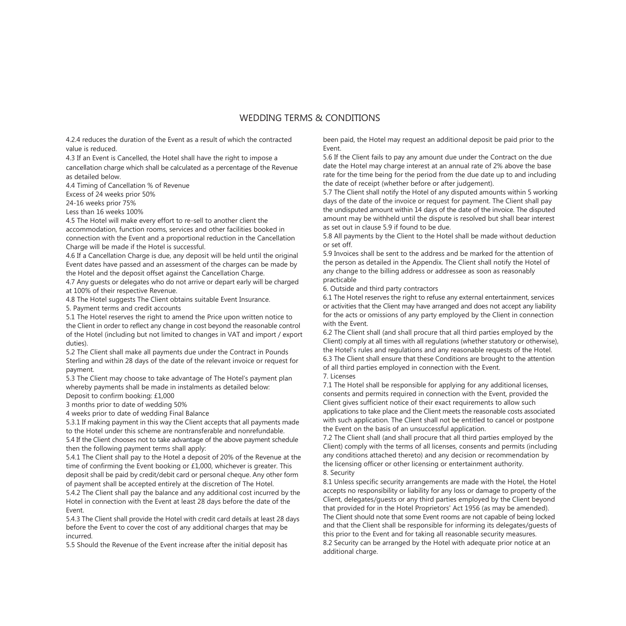4.2.4 reduces the duration of the Event as a result of which the contracted value is reduced.

4.3 If an Event is Cancelled, the Hotel shall have the right to impose a

cancellation charge which shall be calculated as a percentage of the Revenue as detailed below.

4.4 Timing of Cancellation % of Revenue

Excess of 24 weeks prior 50%

24-16 weeks prior 75%

Less than 16 weeks 100%

4.5 The Hotel will make every effort to re-sell to another client the accommodation, function rooms, services and other facilities booked in connection with the Event and a proportional reduction in the Cancellation Charge will be made if the Hotel is successful.

4.6 If a Cancellation Charge is due, any deposit will be held until the original Event dates have passed and an assessment of the charges can be made by the Hotel and the deposit offset against the Cancellation Charge.

4.7 Any guests or delegates who do not arrive or depart early will be charged at 100% of their respective Revenue.

4.8 The Hotel suggests The Client obtains suitable Event Insurance.

5. Payment terms and credit accounts

5.1 The Hotel reserves the right to amend the Price upon written notice to the Client in order to reflect any change in cost beyond the reasonable control of the Hotel (including but not limited to changes in VAT and import / export duties).

5.2 The Client shall make all payments due under the Contract in Pounds Sterling and within 28 days of the date of the relevant invoice or request for payment.

5.3 The Client may choose to take advantage of The Hotel's payment plan whereby payments shall be made in instalments as detailed below: Deposit to confirm booking: £1,000

3 months prior to date of wedding 50%

4 weeks prior to date of wedding Final Balance

5.3.1 If making payment in this way the Client accepts that all payments made to the Hotel under this scheme are nontransferable and nonrefundable. 5.4 If the Client chooses not to take advantage of the above payment schedule

then the following payment terms shall apply:

5.4.1 The Client shall pay to the Hotel a deposit of 20% of the Revenue at the time of confirming the Event booking or £1,000, whichever is greater. This deposit shall be paid by credit/debit card or personal cheque. Any other form of payment shall be accepted entirely at the discretion of The Hotel.

5.4.2 The Client shall pay the balance and any additional cost incurred by the Hotel in connection with the Event at least 28 days before the date of the Event.

5.4.3 The Client shall provide the Hotel with credit card details at least 28 days before the Event to cover the cost of any additional charges that may be incurred.

5.5 Should the Revenue of the Event increase after the initial deposit has

been paid, the Hotel may request an additional deposit be paid prior to the Event.

5.6 If the Client fails to pay any amount due under the Contract on the due date the Hotel may charge interest at an annual rate of 2% above the base rate for the time being for the period from the due date up to and including the date of receipt (whether before or after judgement).

5.7 The Client shall notify the Hotel of any disputed amounts within 5 working days of the date of the invoice or request for payment. The Client shall pay the undisputed amount within 14 days of the date of the invoice. The disputed amount may be withheld until the dispute is resolved but shall bear interest as set out in clause 5.9 if found to be due.

5.8 All payments by the Client to the Hotel shall be made without deduction or set off.

5.9 Invoices shall be sent to the address and be marked for the attention of the person as detailed in the Appendix. The Client shall notify the Hotel of any change to the billing address or addressee as soon as reasonably practicable

6. Outside and third party contractors

6.1 The Hotel reserves the right to refuse any external entertainment, services or activities that the Client may have arranged and does not accept any liability for the acts or omissions of any party employed by the Client in connection with the Event.

6.2 The Client shall (and shall procure that all third parties employed by the Client) comply at all times with all regulations (whether statutory or otherwise), the Hotel's rules and regulations and any reasonable requests of the Hotel. 6.3 The Client shall ensure that these Conditions are brought to the attention of all third parties employed in connection with the Event. 7. Licenses

7.1 The Hotel shall be responsible for applying for any additional licenses, consents and permits required in connection with the Event, provided the Client gives sufficient notice of their exact requirements to allow such applications to take place and the Client meets the reasonable costs associated with such application. The Client shall not be entitled to cancel or postpone the Event on the basis of an unsuccessful application.

7.2 The Client shall (and shall procure that all third parties employed by the Client) comply with the terms of all licenses, consents and permits (including any conditions attached thereto) and any decision or recommendation by the licensing officer or other licensing or entertainment authority. 8. Security

8.1 Unless specific security arrangements are made with the Hotel, the Hotel accepts no responsibility or liability for any loss or damage to property of the Client, delegates/guests or any third parties employed by the Client beyond that provided for in the Hotel Proprietors' Act 1956 (as may be amended). The Client should note that some Event rooms are not capable of being locked and that the Client shall be responsible for informing its delegates/guests of this prior to the Event and for taking all reasonable security measures. 8.2 Security can be arranged by the Hotel with adequate prior notice at an additional charge.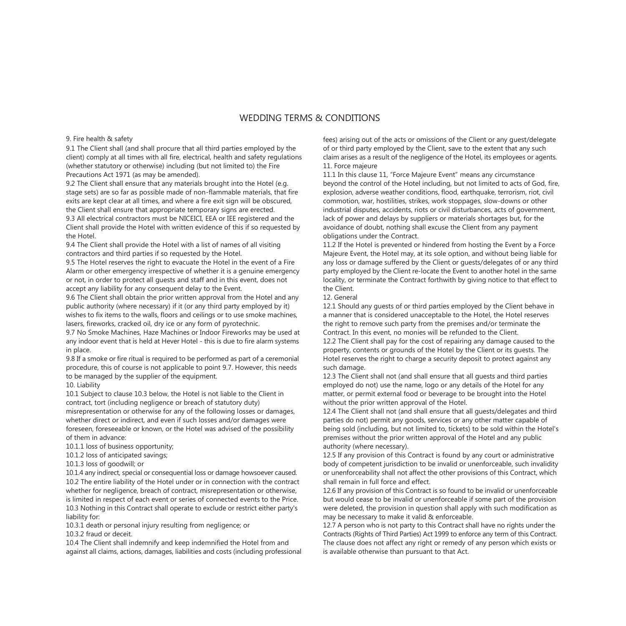#### 9. Fire health & safety

9.1 The Client shall (and shall procure that all third parties employed by the client) comply at all times with all fire, electrical, health and safety regulations (whether statutory or otherwise) including (but not limited to) the Fire Precautions Act 1971 (as may be amended).

9.2 The Client shall ensure that any materials brought into the Hotel (e.g. stage sets) are so far as possible made of non-flammable materials, that fire exits are kept clear at all times, and where a fire exit sign will be obscured, the Client shall ensure that appropriate temporary signs are erected. 9.3 All electrical contractors must be NICEICI, EEA or IEE registered and the Client shall provide the Hotel with written evidence of this if so requested by the Hotel.

9.4 The Client shall provide the Hotel with a list of names of all visiting contractors and third parties if so requested by the Hotel.

9.5 The Hotel reserves the right to evacuate the Hotel in the event of a Fire Alarm or other emergency irrespective of whether it is a genuine emergency or not, in order to protect all guests and staff and in this event, does not accept any liability for any consequent delay to the Event.

9.6 The Client shall obtain the prior written approval from the Hotel and any public authority (where necessary) if it (or any third party employed by it) wishes to fix items to the walls, floors and ceilings or to use smoke machines, lasers, fireworks, cracked oil, dry ice or any form of pyrotechnic.

9.7 No Smoke Machines, Haze Machines or Indoor Fireworks may be used at any indoor event that is held at Hever Hotel - this is due to fire alarm systems in place.

9.8 If a smoke or fire ritual is required to be performed as part of a ceremonial procedure, this of course is not applicable to point 9.7. However, this needs to be managed by the supplier of the equipment.

10. Liability

10.1 Subject to clause 10.3 below, the Hotel is not liable to the Client in contract, tort (including negligence or breach of statutory duty) misrepresentation or otherwise for any of the following losses or damages, whether direct or indirect, and even if such losses and/or damages were foreseen, foreseeable or known, or the Hotel was advised of the possibility of them in advance:

10.1.1 loss of business opportunity;

10.1.2 loss of anticipated savings;

10.1.3 loss of goodwill; or

10.1.4 any indirect, special or consequential loss or damage howsoever caused. 10.2 The entire liability of the Hotel under or in connection with the contract whether for negligence, breach of contract, misrepresentation or otherwise. is limited in respect of each event or series of connected events to the Price. 10.3 Nothing in this Contract shall operate to exclude or restrict either party's liability for:

10.3.1 death or personal injury resulting from negligence; or

10.3.2 fraud or deceit.

10.4 The Client shall indemnify and keep indemnified the Hotel from and against all claims, actions, damages, liabilities and costs (including professional fees) arising out of the acts or omissions of the Client or any guest/delegate of or third party employed by the Client, save to the extent that any such claim arises as a result of the negligence of the Hotel, its employees or agents. 11. Force majeure

11.1 In this clause 11, "Force Majeure Event" means any circumstance beyond the control of the Hotel including, but not limited to acts of God, fire, explosion, adverse weather conditions, flood, earthquake, terrorism, riot, civil commotion, war, hostilities, strikes, work stoppages, slow-downs or other industrial disputes, accidents, riots or civil disturbances, acts of government, lack of power and delays by suppliers or materials shortages but, for the avoidance of doubt, nothing shall excuse the Client from any payment obligations under the Contract.

11.2 If the Hotel is prevented or hindered from hosting the Event by a Force Majeure Event, the Hotel may, at its sole option, and without being liable for any loss or damage suffered by the Client or guests/delegates of or any third party employed by the Client re-locate the Event to another hotel in the same locality, or terminate the Contract forthwith by giving notice to that effect to the Client.

#### 12. General

12.1 Should any guests of or third parties employed by the Client behave in a manner that is considered unacceptable to the Hotel, the Hotel reserves the right to remove such party from the premises and/or terminate the Contract. In this event, no monies will be refunded to the Client. 12.2 The Client shall pay for the cost of repairing any damage caused to the property, contents or grounds of the Hotel by the Client or its guests. The

Hotel reserves the right to charge a security deposit to protect against any such damage. 12.3 The Client shall not (and shall ensure that all guests and third parties

employed do not) use the name, logo or any details of the Hotel for any matter, or permit external food or beverage to be brought into the Hotel without the prior written approval of the Hotel.

12.4 The Client shall not (and shall ensure that all guests/delegates and third parties do not) permit any goods, services or any other matter capable of being sold (including, but not limited to, tickets) to be sold within the Hotel's premises without the prior written approval of the Hotel and any public authority (where necessary).

12.5 If any provision of this Contract is found by any court or administrative body of competent jurisdiction to be invalid or unenforceable, such invalidity or unenforceability shall not affect the other provisions of this Contract, which shall remain in full force and effect.

12.6 If any provision of this Contract is so found to be invalid or unenforceable but would cease to be invalid or unenforceable if some part of the provision were deleted, the provision in question shall apply with such modification as may be necessary to make it valid & enforceable.

12.7 A person who is not party to this Contract shall have no rights under the Contracts (Rights of Third Parties) Act 1999 to enforce any term of this Contract. The clause does not affect any right or remedy of any person which exists or is available otherwise than pursuant to that Act.